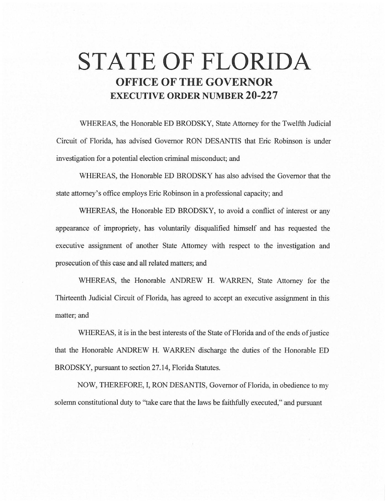# **STATE OF FLORIDA OFFICE OF THE GOVERNOR EXECUTIVE ORDER NUMBER 20-227**

WHEREAS, the Honorable ED BRODSKY, State Attorney for the Twelfth Judicial Circuit of Florida, has advised Governor RON DESANTIS that Eric Robinson is under investigation for a potential election criminal misconduct; and

WHEREAS, the Honorable ED BRODSKY has also advised the Governor that the state attorney's office employs Eric Robinson in a professional capacity; and

WHEREAS, the Honorable ED BRODSKY, to avoid a conflict of interest or any appearance of impropriety, has voluntarily disqualified himself and has requested the executive assignment of another State Attorney with respect to the investigation and prosecution of this case and all related matters; and

WHEREAS, the Honorable ANDREW H. WARREN, State Attorney for the Thirteenth Judicial Circuit of Florida, has agreed to accept an executive assignment in this matter; and

WHEREAS, it is in the best interests of the State of Florida and of the ends of justice that the Honorable ANDREW H. WARREN discharge the duties of the Honorable ED BRODSKY, pursuant to section 27.14, Florida Statutes.

NOW, THEREFORE, I, RON DESANTIS, Governor of Florida, in obedience to my solemn constitutional duty to "take care that the laws be faithfully executed," and pursuant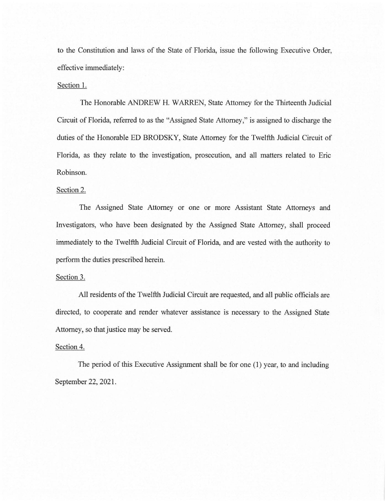to the Constitution and laws of the State of Florida, issue the following Executive Order, effective immediately:

## Section 1.

The Honorable ANDREW H. WARREN, State Attorney for the Thirteenth Judicial Circuit of Florida, referred to as the "Assigned State Attorney," is assigned to discharge the duties of the Honorable ED BRODSKY, State Attorney for the Twelfth Judicial Circuit of Florida, as they relate to the investigation, prosecution, and all matters related to Eric Robinson.

#### Section 2.

The Assigned State Attorney or one or more Assistant State Attorneys and Investigators, who have been designated by the Assigned State Attorney, shall proceed immediately to the Twelfth Judicial Circuit of Florida, and are vested with the authority to perform the duties prescribed herein.

#### Section 3.

All residents of the Twelfth Judicial Circuit are requested, and all public officials are directed, to cooperate and render whatever assistance is necessary to the Assigned State Attorney, so that justice may be served.

## Section 4.

The period of this Executive Assignment shall be for one (1) year, to and including September 22, 2021.